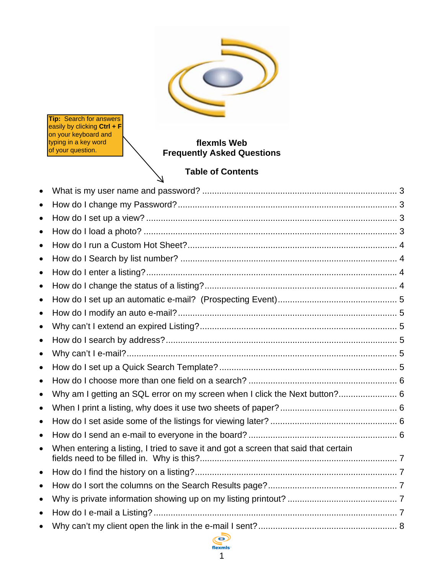

**Tip:** Search for answers easily by clicking **Ctrl + F** on your keyboard and typing in a key word of your question.

# **flexmls Web Frequently Asked Questions**

# **Table of Contents**

7

| $\bullet$ |                                                                                     |  |
|-----------|-------------------------------------------------------------------------------------|--|
| $\bullet$ |                                                                                     |  |
| $\bullet$ |                                                                                     |  |
| $\bullet$ |                                                                                     |  |
| $\bullet$ |                                                                                     |  |
| $\bullet$ |                                                                                     |  |
| $\bullet$ |                                                                                     |  |
| $\bullet$ |                                                                                     |  |
| $\bullet$ |                                                                                     |  |
| $\bullet$ |                                                                                     |  |
| $\bullet$ |                                                                                     |  |
| $\bullet$ |                                                                                     |  |
| $\bullet$ |                                                                                     |  |
| $\bullet$ |                                                                                     |  |
| $\bullet$ |                                                                                     |  |
| $\bullet$ | Why am I getting an SQL error on my screen when I click the Next button? 6          |  |
| $\bullet$ |                                                                                     |  |
| $\bullet$ |                                                                                     |  |
| $\bullet$ |                                                                                     |  |
| $\bullet$ | When entering a listing, I tried to save it and got a screen that said that certain |  |
| $\bullet$ |                                                                                     |  |
| $\bullet$ |                                                                                     |  |
| $\bullet$ |                                                                                     |  |
| $\bullet$ |                                                                                     |  |
|           |                                                                                     |  |
|           |                                                                                     |  |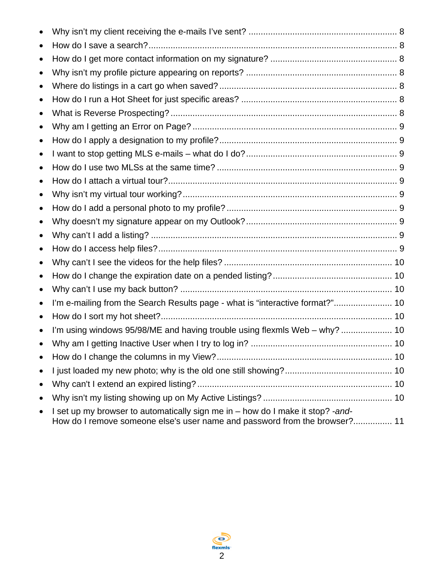| $\bullet$ |                                                                               |  |
|-----------|-------------------------------------------------------------------------------|--|
|           |                                                                               |  |
|           |                                                                               |  |
| $\bullet$ |                                                                               |  |
| $\bullet$ |                                                                               |  |
| $\bullet$ |                                                                               |  |
| $\bullet$ |                                                                               |  |
| $\bullet$ |                                                                               |  |
| $\bullet$ |                                                                               |  |
| $\bullet$ |                                                                               |  |
| $\bullet$ |                                                                               |  |
| $\bullet$ |                                                                               |  |
| $\bullet$ |                                                                               |  |
| $\bullet$ |                                                                               |  |
| $\bullet$ |                                                                               |  |
|           |                                                                               |  |
| $\bullet$ |                                                                               |  |
| $\bullet$ |                                                                               |  |
| $\bullet$ |                                                                               |  |
| $\bullet$ |                                                                               |  |
| $\bullet$ |                                                                               |  |
| $\bullet$ |                                                                               |  |
| $\bullet$ | I'm e-mailing from the Search Results page - what is "interactive format?" 10 |  |
| $\bullet$ |                                                                               |  |
| $\bullet$ | I'm using windows 95/98/ME and having trouble using flexmls Web - why?  10    |  |
|           |                                                                               |  |
| $\bullet$ |                                                                               |  |
| $\bullet$ |                                                                               |  |
| $\bullet$ |                                                                               |  |
| $\bullet$ |                                                                               |  |

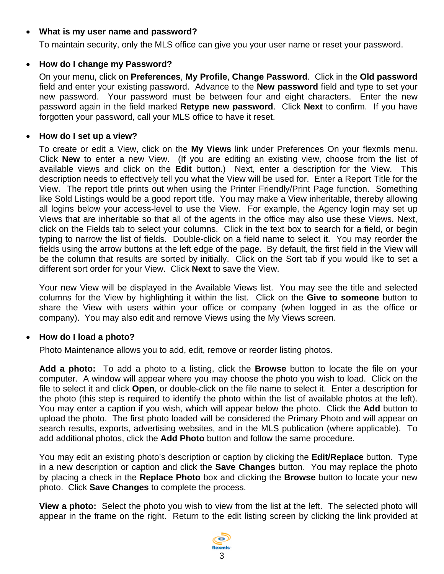## <span id="page-2-0"></span>• **What is my user name and password?**

To maintain security, only the MLS office can give you your user name or reset your password.

#### • **How do I change my Password?**

On your menu, click on **Preferences**, **My Profile**, **Change Password**. Click in the **Old password** field and enter your existing password. Advance to the **New password** field and type to set your new password. Your password must be between four and eight characters. Enter the new password again in the field marked **Retype new password**. Click **Next** to confirm. If you have forgotten your password, call your MLS office to have it reset.

#### • **How do I set up a view?**

To create or edit a View, click on the **My Views** link under Preferences On your flexmls menu. Click **New** to enter a new View. (If you are editing an existing view, choose from the list of available views and click on the **Edit** button.) Next, enter a description for the View. This description needs to effectively tell you what the View will be used for. Enter a Report Title for the View. The report title prints out when using the Printer Friendly/Print Page function. Something like Sold Listings would be a good report title. You may make a View inheritable, thereby allowing all logins below your access-level to use the View. For example, the Agency login may set up Views that are inheritable so that all of the agents in the office may also use these Views. Next, click on the Fields tab to select your columns. Click in the text box to search for a field, or begin typing to narrow the list of fields. Double-click on a field name to select it. You may reorder the fields using the arrow buttons at the left edge of the page. By default, the first field in the View will be the column that results are sorted by initially. Click on the Sort tab if you would like to set a different sort order for your View. Click **Next** to save the View.

Your new View will be displayed in the Available Views list. You may see the title and selected columns for the View by highlighting it within the list. Click on the **Give to someone** button to share the View with users within your office or company (when logged in as the office or company). You may also edit and remove Views using the My Views screen.

#### • **How do I load a photo?**

Photo Maintenance allows you to add, edit, remove or reorder listing photos.

**Add a photo:** To add a photo to a listing, click the **Browse** button to locate the file on your computer. A window will appear where you may choose the photo you wish to load. Click on the file to select it and click **Open**, or double-click on the file name to select it. Enter a description for the photo (this step is required to identify the photo within the list of available photos at the left). You may enter a caption if you wish, which will appear below the photo. Click the **Add** button to upload the photo. The first photo loaded will be considered the Primary Photo and will appear on search results, exports, advertising websites, and in the MLS publication (where applicable). To add additional photos, click the **Add Photo** button and follow the same procedure.

You may edit an existing photo's description or caption by clicking the **Edit/Replace** button. Type in a new description or caption and click the **Save Changes** button. You may replace the photo by placing a check in the **Replace Photo** box and clicking the **Browse** button to locate your new photo. Click **Save Changes** to complete the process.

**View a photo:** Select the photo you wish to view from the list at the left. The selected photo will appear in the frame on the right. Return to the edit listing screen by clicking the link provided at

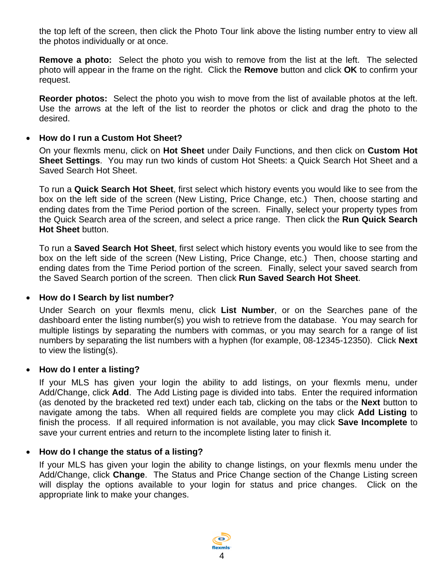<span id="page-3-0"></span>the top left of the screen, then click the Photo Tour link above the listing number entry to view all the photos individually or at once.

**Remove a photo:** Select the photo you wish to remove from the list at the left. The selected photo will appear in the frame on the right. Click the **Remove** button and click **OK** to confirm your request.

**Reorder photos:** Select the photo you wish to move from the list of available photos at the left. Use the arrows at the left of the list to reorder the photos or click and drag the photo to the desired.

#### • **How do I run a Custom Hot Sheet?**

On your flexmls menu, click on **Hot Sheet** under Daily Functions, and then click on **Custom Hot Sheet Settings**. You may run two kinds of custom Hot Sheets: a Quick Search Hot Sheet and a Saved Search Hot Sheet.

To run a **Quick Search Hot Sheet**, first select which history events you would like to see from the box on the left side of the screen (New Listing, Price Change, etc.) Then, choose starting and ending dates from the Time Period portion of the screen. Finally, select your property types from the Quick Search area of the screen, and select a price range. Then click the **Run Quick Search Hot Sheet** button.

To run a **Saved Search Hot Sheet**, first select which history events you would like to see from the box on the left side of the screen (New Listing, Price Change, etc.) Then, choose starting and ending dates from the Time Period portion of the screen. Finally, select your saved search from the Saved Search portion of the screen. Then click **Run Saved Search Hot Sheet**.

#### • **How do I Search by list number?**

Under Search on your flexmls menu, click **List Number**, or on the Searches pane of the dashboard enter the listing number(s) you wish to retrieve from the database. You may search for multiple listings by separating the numbers with commas, or you may search for a range of list numbers by separating the list numbers with a hyphen (for example, 08-12345-12350). Click **Next** to view the listing(s).

## • **How do I enter a listing?**

If your MLS has given your login the ability to add listings, on your flexmls menu, under Add/Change, click **Add**. The Add Listing page is divided into tabs. Enter the required information (as denoted by the bracketed red text) under each tab, clicking on the tabs or the **Next** button to navigate among the tabs. When all required fields are complete you may click **Add Listing** to finish the process. If all required information is not available, you may click **Save Incomplete** to save your current entries and return to the incomplete listing later to finish it.

## • **How do I change the status of a listing?**

If your MLS has given your login the ability to change listings, on your flexmls menu under the Add/Change, click **Change**. The Status and Price Change section of the Change Listing screen will display the options available to your login for status and price changes. Click on the appropriate link to make your changes.

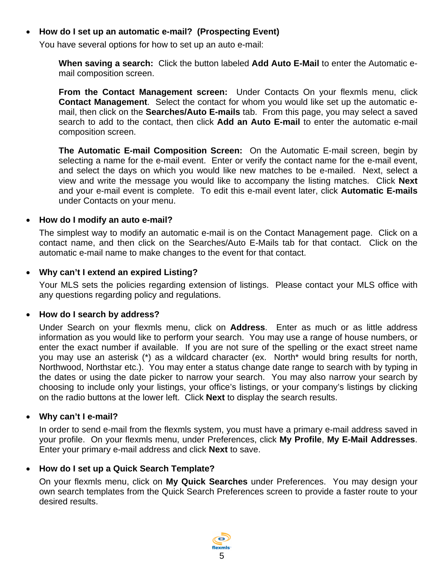## <span id="page-4-0"></span>• **How do I set up an automatic e-mail? (Prospecting Event)**

You have several options for how to set up an auto e-mail:

**When saving a search:** Click the button labeled **Add Auto E-Mail** to enter the Automatic email composition screen.

**From the Contact Management screen:** Under Contacts On your flexmls menu, click **Contact Management**. Select the contact for whom you would like set up the automatic email, then click on the **Searches/Auto E-mails** tab. From this page, you may select a saved search to add to the contact, then click **Add an Auto E-mail** to enter the automatic e-mail composition screen.

**The Automatic E-mail Composition Screen:** On the Automatic E-mail screen, begin by selecting a name for the e-mail event. Enter or verify the contact name for the e-mail event, and select the days on which you would like new matches to be e-mailed. Next, select a view and write the message you would like to accompany the listing matches. Click **Next** and your e-mail event is complete. To edit this e-mail event later, click **Automatic E-mails** under Contacts on your menu.

#### • **How do I modify an auto e-mail?**

The simplest way to modify an automatic e-mail is on the Contact Management page. Click on a contact name, and then click on the Searches/Auto E-Mails tab for that contact. Click on the automatic e-mail name to make changes to the event for that contact.

## • **Why can't I extend an expired Listing?**

Your MLS sets the policies regarding extension of listings. Please contact your MLS office with any questions regarding policy and regulations.

#### • **How do I search by address?**

Under Search on your flexmls menu, click on **Address**. Enter as much or as little address information as you would like to perform your search. You may use a range of house numbers, or enter the exact number if available. If you are not sure of the spelling or the exact street name you may use an asterisk (\*) as a wildcard character (ex. North\* would bring results for north, Northwood, Northstar etc.). You may enter a status change date range to search with by typing in the dates or using the date picker to narrow your search. You may also narrow your search by choosing to include only your listings, your office's listings, or your company's listings by clicking on the radio buttons at the lower left. Click **Next** to display the search results.

#### • **Why can't I e-mail?**

In order to send e-mail from the flexmls system, you must have a primary e-mail address saved in your profile. On your flexmls menu, under Preferences, click **My Profile**, **My E-Mail Addresses**. Enter your primary e-mail address and click **Next** to save.

## • **How do I set up a Quick Search Template?**

On your flexmls menu, click on **My Quick Searches** under Preferences. You may design your own search templates from the Quick Search Preferences screen to provide a faster route to your desired results.

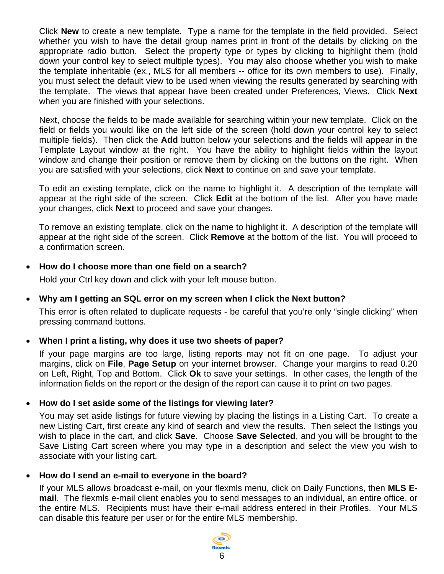<span id="page-5-0"></span>Click **New** to create a new template. Type a name for the template in the field provided. Select whether you wish to have the detail group names print in front of the details by clicking on the appropriate radio button. Select the property type or types by clicking to highlight them (hold down your control key to select multiple types). You may also choose whether you wish to make the template inheritable (ex., MLS for all members -- office for its own members to use). Finally, you must select the default view to be used when viewing the results generated by searching with the template. The views that appear have been created under Preferences, Views. Click **Next** when you are finished with your selections.

Next, choose the fields to be made available for searching within your new template. Click on the field or fields you would like on the left side of the screen (hold down your control key to select multiple fields). Then click the **Add** button below your selections and the fields will appear in the Template Layout window at the right. You have the ability to highlight fields within the layout window and change their position or remove them by clicking on the buttons on the right. When you are satisfied with your selections, click **Next** to continue on and save your template.

To edit an existing template, click on the name to highlight it. A description of the template will appear at the right side of the screen. Click **Edit** at the bottom of the list. After you have made your changes, click **Next** to proceed and save your changes.

To remove an existing template, click on the name to highlight it. A description of the template will appear at the right side of the screen. Click **Remove** at the bottom of the list. You will proceed to a confirmation screen.

## • **How do I choose more than one field on a search?**

Hold your Ctrl key down and click with your left mouse button.

# • **Why am I getting an SQL error on my screen when I click the Next button?**

This error is often related to duplicate requests - be careful that you're only "single clicking" when pressing command buttons.

# • **When I print a listing, why does it use two sheets of paper?**

If your page margins are too large, listing reports may not fit on one page. To adjust your margins, click on **File**, **Page Setup** on your internet browser. Change your margins to read 0.20 on Left, Right, Top and Bottom. Click **Ok** to save your settings. In other cases, the length of the information fields on the report or the design of the report can cause it to print on two pages.

## • **How do I set aside some of the listings for viewing later?**

You may set aside listings for future viewing by placing the listings in a Listing Cart. To create a new Listing Cart, first create any kind of search and view the results. Then select the listings you wish to place in the cart, and click **Save**. Choose **Save Selected**, and you will be brought to the Save Listing Cart screen where you may type in a description and select the view you wish to associate with your listing cart.

# • **How do I send an e-mail to everyone in the board?**

If your MLS allows broadcast e-mail, on your flexmls menu, click on Daily Functions, then **MLS Email**. The flexmls e-mail client enables you to send messages to an individual, an entire office, or the entire MLS. Recipients must have their e-mail address entered in their Profiles. Your MLS can disable this feature per user or for the entire MLS membership.

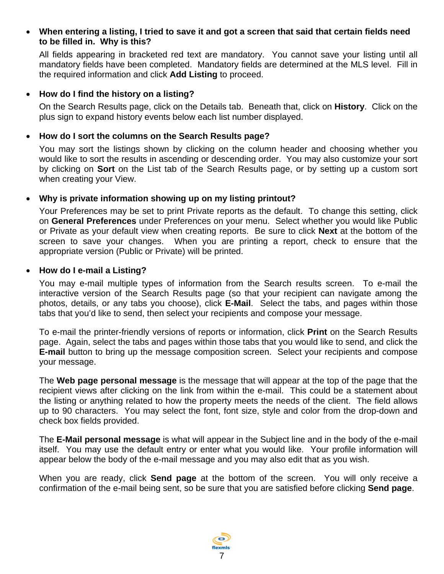#### <span id="page-6-0"></span>• **When entering a listing, I tried to save it and got a screen that said that certain fields need to be filled in. Why is this?**

All fields appearing in bracketed red text are mandatory. You cannot save your listing until all mandatory fields have been completed. Mandatory fields are determined at the MLS level. Fill in the required information and click **Add Listing** to proceed.

#### • **How do I find the history on a listing?**

On the Search Results page, click on the Details tab. Beneath that, click on **History**. Click on the plus sign to expand history events below each list number displayed.

#### • **How do I sort the columns on the Search Results page?**

You may sort the listings shown by clicking on the column header and choosing whether you would like to sort the results in ascending or descending order. You may also customize your sort by clicking on **Sort** on the List tab of the Search Results page, or by setting up a custom sort when creating your View.

#### • **Why is private information showing up on my listing printout?**

Your Preferences may be set to print Private reports as the default. To change this setting, click on **General Preferences** under Preferences on your menu. Select whether you would like Public or Private as your default view when creating reports. Be sure to click **Next** at the bottom of the screen to save your changes. When you are printing a report, check to ensure that the appropriate version (Public or Private) will be printed.

#### • **How do I e-mail a Listing?**

You may e-mail multiple types of information from the Search results screen. To e-mail the interactive version of the Search Results page (so that your recipient can navigate among the photos, details, or any tabs you choose), click **E-Mail**. Select the tabs, and pages within those tabs that you'd like to send, then select your recipients and compose your message.

To e-mail the printer-friendly versions of reports or information, click **Print** on the Search Results page. Again, select the tabs and pages within those tabs that you would like to send, and click the **E-mail** button to bring up the message composition screen. Select your recipients and compose your message.

The **Web page personal message** is the message that will appear at the top of the page that the recipient views after clicking on the link from within the e-mail. This could be a statement about the listing or anything related to how the property meets the needs of the client. The field allows up to 90 characters. You may select the font, font size, style and color from the drop-down and check box fields provided.

The **E-Mail personal message** is what will appear in the Subject line and in the body of the e-mail itself. You may use the default entry or enter what you would like. Your profile information will appear below the body of the e-mail message and you may also edit that as you wish.

When you are ready, click **Send page** at the bottom of the screen. You will only receive a confirmation of the e-mail being sent, so be sure that you are satisfied before clicking **Send page**.

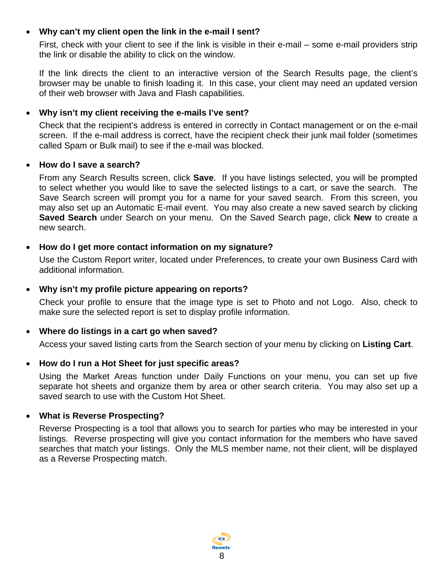## <span id="page-7-0"></span>• **Why can't my client open the link in the e-mail I sent?**

First, check with your client to see if the link is visible in their e-mail – some e-mail providers strip the link or disable the ability to click on the window.

If the link directs the client to an interactive version of the Search Results page, the client's browser may be unable to finish loading it. In this case, your client may need an updated version of their web browser with Java and Flash capabilities.

## • **Why isn't my client receiving the e-mails I've sent?**

Check that the recipient's address is entered in correctly in Contact management or on the e-mail screen. If the e-mail address is correct, have the recipient check their junk mail folder (sometimes called Spam or Bulk mail) to see if the e-mail was blocked.

#### • **How do I save a search?**

From any Search Results screen, click **Save**. If you have listings selected, you will be prompted to select whether you would like to save the selected listings to a cart, or save the search. The Save Search screen will prompt you for a name for your saved search. From this screen, you may also set up an Automatic E-mail event. You may also create a new saved search by clicking **Saved Search** under Search on your menu. On the Saved Search page, click **New** to create a new search.

## • **How do I get more contact information on my signature?**

Use the Custom Report writer, located under Preferences, to create your own Business Card with additional information.

#### • **Why isn't my profile picture appearing on reports?**

Check your profile to ensure that the image type is set to Photo and not Logo. Also, check to make sure the selected report is set to display profile information.

## • **Where do listings in a cart go when saved?**

Access your saved listing carts from the Search section of your menu by clicking on **Listing Cart**.

## • **How do I run a Hot Sheet for just specific areas?**

Using the Market Areas function under Daily Functions on your menu, you can set up five separate hot sheets and organize them by area or other search criteria. You may also set up a saved search to use with the Custom Hot Sheet.

## • **What is Reverse Prospecting?**

Reverse Prospecting is a tool that allows you to search for parties who may be interested in your listings. Reverse prospecting will give you contact information for the members who have saved searches that match your listings. Only the MLS member name, not their client, will be displayed as a Reverse Prospecting match.

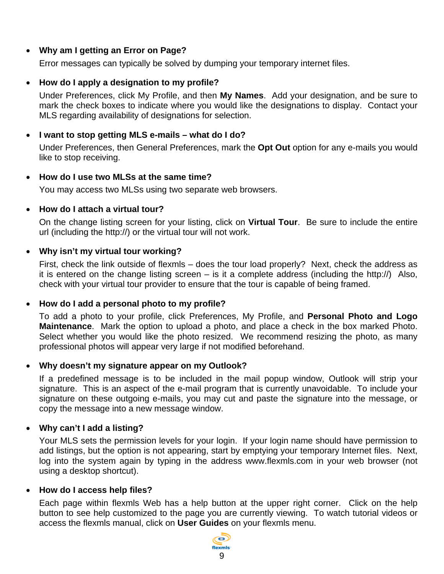## <span id="page-8-0"></span>• **Why am I getting an Error on Page?**

Error messages can typically be solved by dumping your temporary internet files.

## • **How do I apply a designation to my profile?**

Under Preferences, click My Profile, and then **My Names**. Add your designation, and be sure to mark the check boxes to indicate where you would like the designations to display. Contact your MLS regarding availability of designations for selection.

#### • **I want to stop getting MLS e-mails – what do I do?**

Under Preferences, then General Preferences, mark the **Opt Out** option for any e-mails you would like to stop receiving.

#### • **How do I use two MLSs at the same time?**

You may access two MLSs using two separate web browsers.

#### • **How do I attach a virtual tour?**

On the change listing screen for your listing, click on **Virtual Tour**. Be sure to include the entire url (including the http://) or the virtual tour will not work.

#### • **Why isn't my virtual tour working?**

First, check the link outside of flexmls – does the tour load properly? Next, check the address as it is entered on the change listing screen  $-$  is it a complete address (including the http://) Also, check with your virtual tour provider to ensure that the tour is capable of being framed.

#### • **How do I add a personal photo to my profile?**

To add a photo to your profile, click Preferences, My Profile, and **Personal Photo and Logo Maintenance**. Mark the option to upload a photo, and place a check in the box marked Photo. Select whether you would like the photo resized. We recommend resizing the photo, as many professional photos will appear very large if not modified beforehand.

#### • **Why doesn't my signature appear on my Outlook?**

If a predefined message is to be included in the mail popup window, Outlook will strip your signature. This is an aspect of the e-mail program that is currently unavoidable. To include your signature on these outgoing e-mails, you may cut and paste the signature into the message, or copy the message into a new message window.

## • **Why can't I add a listing?**

Your MLS sets the permission levels for your login. If your login name should have permission to add listings, but the option is not appearing, start by emptying your temporary Internet files. Next, log into the system again by typing in the address www.flexmls.com in your web browser (not using a desktop shortcut).

#### • **How do I access help files?**

Each page within flexmls Web has a help button at the upper right corner. Click on the help button to see help customized to the page you are currently viewing. To watch tutorial videos or access the flexmls manual, click on **User Guides** on your flexmls menu.

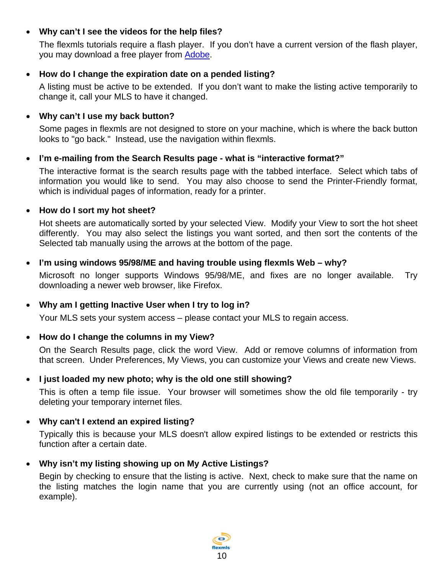## <span id="page-9-0"></span>• **Why can't I see the videos for the help files?**

The flexmls tutorials require a flash player. If you don't have a current version of the flash player, you may download a free player from [Adobe](http://www.adobe.com/).

## • **How do I change the expiration date on a pended listing?**

A listing must be active to be extended. If you don't want to make the listing active temporarily to change it, call your MLS to have it changed.

## • **Why can't I use my back button?**

Some pages in flexmls are not designed to store on your machine, which is where the back button looks to "go back." Instead, use the navigation within flexmls.

## • **I'm e-mailing from the Search Results page - what is "interactive format?"**

The interactive format is the search results page with the tabbed interface. Select which tabs of information you would like to send. You may also choose to send the Printer-Friendly format, which is individual pages of information, ready for a printer.

## • **How do I sort my hot sheet?**

Hot sheets are automatically sorted by your selected View. Modify your View to sort the hot sheet differently. You may also select the listings you want sorted, and then sort the contents of the Selected tab manually using the arrows at the bottom of the page.

## • **I'm using windows 95/98/ME and having trouble using flexmls Web – why?**

Microsoft no longer supports Windows 95/98/ME, and fixes are no longer available. Try downloading a newer web browser, like Firefox.

# • **Why am I getting Inactive User when I try to log in?**

Your MLS sets your system access – please contact your MLS to regain access.

## • **How do I change the columns in my View?**

On the Search Results page, click the word View. Add or remove columns of information from that screen. Under Preferences, My Views, you can customize your Views and create new Views.

## • **I just loaded my new photo; why is the old one still showing?**

This is often a temp file issue. Your browser will sometimes show the old file temporarily - try deleting your temporary internet files.

# • **Why can't I extend an expired listing?**

Typically this is because your MLS doesn't allow expired listings to be extended or restricts this function after a certain date.

# • **Why isn't my listing showing up on My Active Listings?**

Begin by checking to ensure that the listing is active. Next, check to make sure that the name on the listing matches the login name that you are currently using (not an office account, for example).